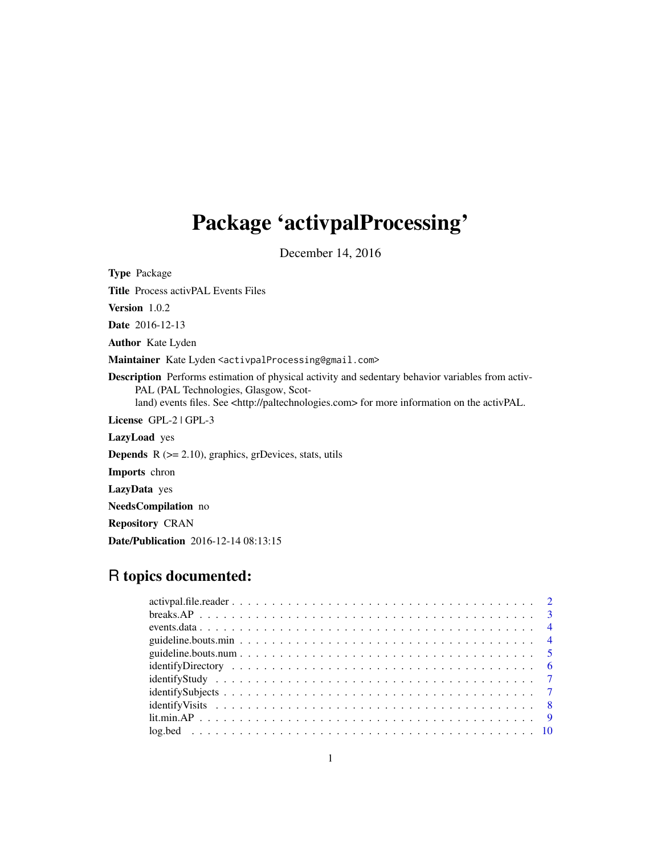## <span id="page-0-0"></span>Package 'activpalProcessing'

December 14, 2016

Type Package Title Process activPAL Events Files Version 1.0.2 Date 2016-12-13 Author Kate Lyden Maintainer Kate Lyden <activpalProcessing@gmail.com> Description Performs estimation of physical activity and sedentary behavior variables from activ-PAL (PAL Technologies, Glasgow, Scotland) events files. See <http://paltechnologies.com> for more information on the activPAL. License GPL-2 | GPL-3 LazyLoad yes **Depends**  $R$  ( $>= 2.10$ ), graphics, grDevices, stats, utils Imports chron LazyData yes NeedsCompilation no Repository CRAN

Date/Publication 2016-12-14 08:13:15

## R topics documented: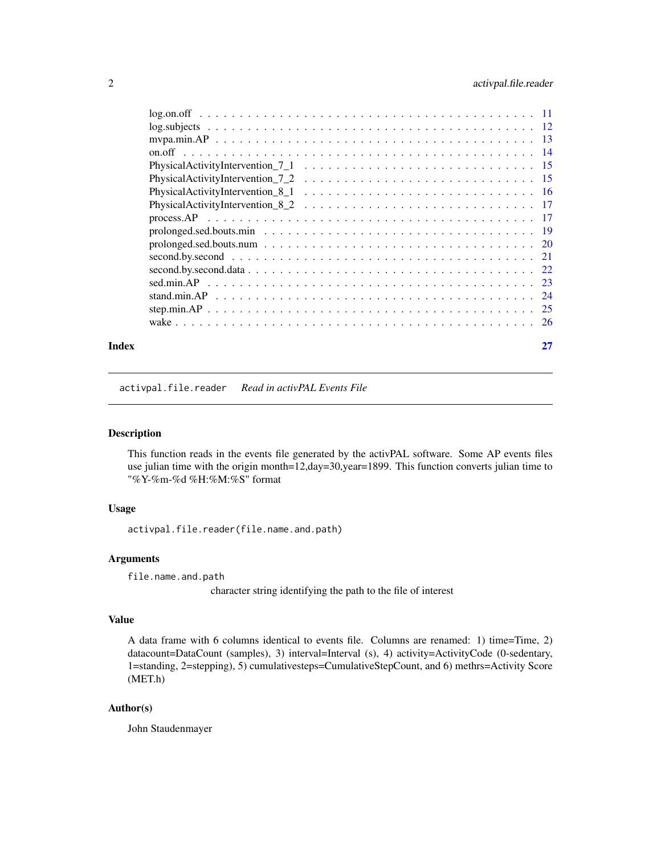## <span id="page-1-0"></span>2 activpal.file.reader

| Index |                                                                                                                                   |  |
|-------|-----------------------------------------------------------------------------------------------------------------------------------|--|
|       |                                                                                                                                   |  |
|       |                                                                                                                                   |  |
|       |                                                                                                                                   |  |
|       |                                                                                                                                   |  |
|       |                                                                                                                                   |  |
|       |                                                                                                                                   |  |
|       | $prolonged. sed. bouts.num \ldots \ldots \ldots \ldots \ldots \ldots \ldots \ldots \ldots \ldots \ldots 20$                       |  |
|       |                                                                                                                                   |  |
|       |                                                                                                                                   |  |
|       | Physical Activity Intervention $8\ 2\ \ldots \ldots \ldots \ldots \ldots \ldots \ldots \ldots \ldots \ldots \ldots \ldots \ldots$ |  |
|       |                                                                                                                                   |  |
|       |                                                                                                                                   |  |
|       |                                                                                                                                   |  |
|       |                                                                                                                                   |  |
|       |                                                                                                                                   |  |
|       |                                                                                                                                   |  |
|       |                                                                                                                                   |  |

<span id="page-1-1"></span>activpal.file.reader *Read in activPAL Events File*

## Description

This function reads in the events file generated by the activPAL software. Some AP events files use julian time with the origin month=12,day=30,year=1899. This function converts julian time to "%Y-%m-%d %H:%M:%S" format

#### Usage

activpal.file.reader(file.name.and.path)

## Arguments

file.name.and.path

character string identifying the path to the file of interest

#### Value

A data frame with 6 columns identical to events file. Columns are renamed: 1) time=Time, 2) datacount=DataCount (samples), 3) interval=Interval (s), 4) activity=ActivityCode (0-sedentary, 1=standing, 2=stepping), 5) cumulativesteps=CumulativeStepCount, and 6) methrs=Activity Score (MET.h)

## Author(s)

John Staudenmayer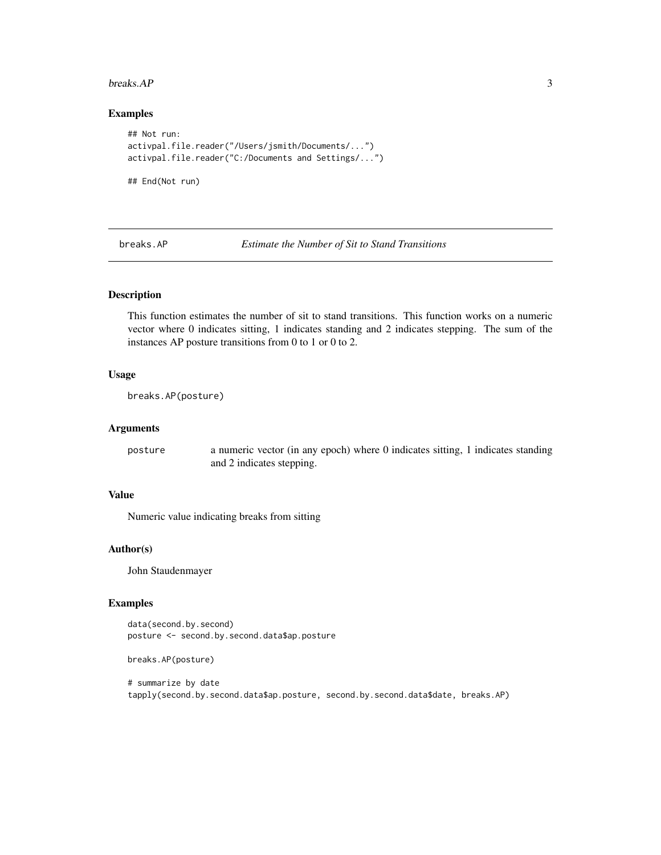#### <span id="page-2-0"></span>breaks.AP 3

## Examples

```
## Not run:
activpal.file.reader("/Users/jsmith/Documents/...")
activpal.file.reader("C:/Documents and Settings/...")
```
## End(Not run)

breaks.AP *Estimate the Number of Sit to Stand Transitions*

## Description

This function estimates the number of sit to stand transitions. This function works on a numeric vector where 0 indicates sitting, 1 indicates standing and 2 indicates stepping. The sum of the instances AP posture transitions from 0 to 1 or 0 to 2.

## Usage

```
breaks.AP(posture)
```
## Arguments

posture a numeric vector (in any epoch) where 0 indicates sitting, 1 indicates standing and 2 indicates stepping.

#### Value

Numeric value indicating breaks from sitting

#### Author(s)

John Staudenmayer

#### Examples

data(second.by.second) posture <- second.by.second.data\$ap.posture

breaks.AP(posture)

# summarize by date tapply(second.by.second.data\$ap.posture, second.by.second.data\$date, breaks.AP)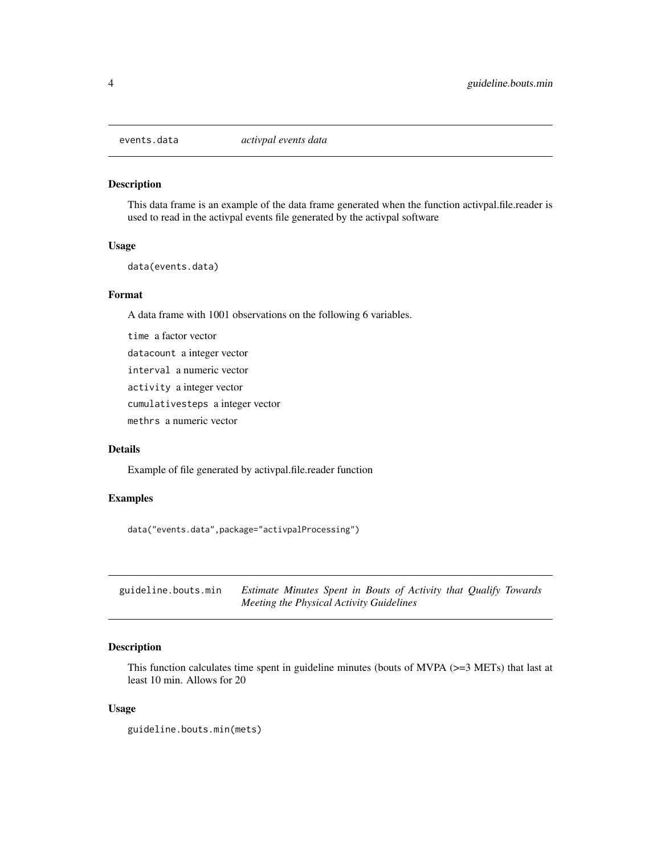<span id="page-3-0"></span>

#### Description

This data frame is an example of the data frame generated when the function activpal.file.reader is used to read in the activpal events file generated by the activpal software

#### Usage

data(events.data)

#### Format

A data frame with 1001 observations on the following 6 variables.

time a factor vector datacount a integer vector interval a numeric vector activity a integer vector cumulativesteps a integer vector methrs a numeric vector

#### Details

Example of file generated by activpal.file.reader function

## Examples

data("events.data",package="activpalProcessing")

<span id="page-3-1"></span>guideline.bouts.min *Estimate Minutes Spent in Bouts of Activity that Qualify Towards Meeting the Physical Activity Guidelines*

## Description

This function calculates time spent in guideline minutes (bouts of MVPA (>=3 METs) that last at least 10 min. Allows for 20

#### Usage

guideline.bouts.min(mets)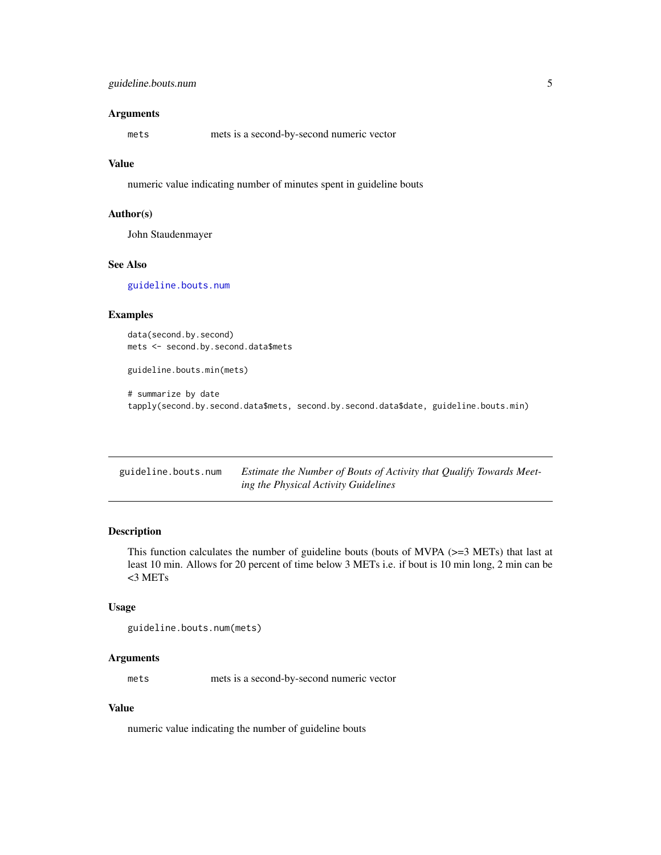#### <span id="page-4-0"></span>**Arguments**

mets mets is a second-by-second numeric vector

## Value

numeric value indicating number of minutes spent in guideline bouts

#### Author(s)

John Staudenmayer

#### See Also

[guideline.bouts.num](#page-4-1)

## Examples

data(second.by.second) mets <- second.by.second.data\$mets

```
guideline.bouts.min(mets)
```
# summarize by date tapply(second.by.second.data\$mets, second.by.second.data\$date, guideline.bouts.min)

<span id="page-4-1"></span>

| guideline.bouts.num | Estimate the Number of Bouts of Activity that Qualify Towards Meet- |
|---------------------|---------------------------------------------------------------------|
|                     | ing the Physical Activity Guidelines                                |

## Description

This function calculates the number of guideline bouts (bouts of MVPA (>=3 METs) that last at least 10 min. Allows for 20 percent of time below 3 METs i.e. if bout is 10 min long, 2 min can be <3 METs

#### Usage

```
guideline.bouts.num(mets)
```
#### Arguments

mets mets is a second-by-second numeric vector

## Value

numeric value indicating the number of guideline bouts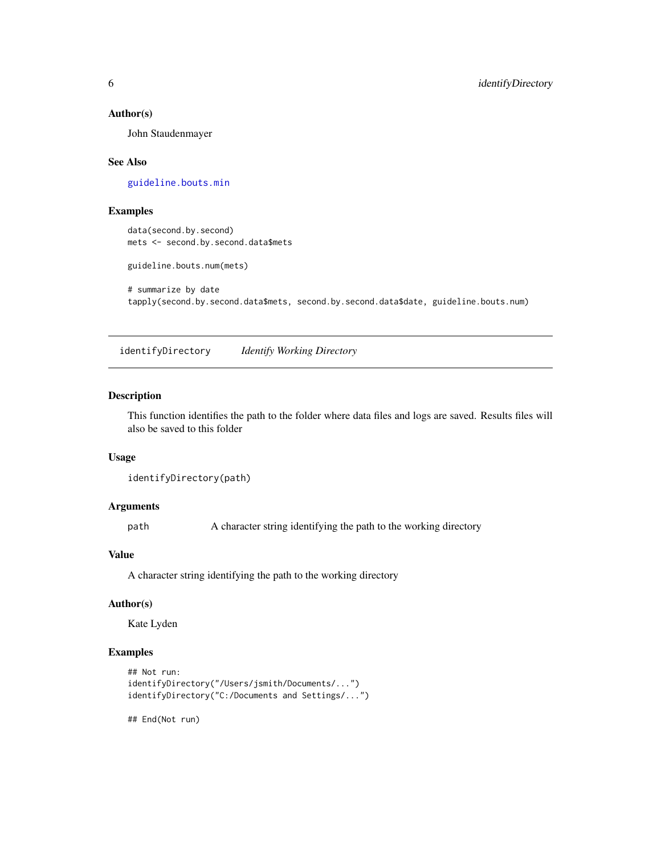#### <span id="page-5-0"></span>Author(s)

John Staudenmayer

#### See Also

[guideline.bouts.min](#page-3-1)

#### Examples

```
data(second.by.second)
mets <- second.by.second.data$mets
```
guideline.bouts.num(mets)

```
# summarize by date
tapply(second.by.second.data$mets, second.by.second.data$date, guideline.bouts.num)
```
identifyDirectory *Identify Working Directory*

#### Description

This function identifies the path to the folder where data files and logs are saved. Results files will also be saved to this folder

#### Usage

```
identifyDirectory(path)
```
## Arguments

path A character string identifying the path to the working directory

## Value

A character string identifying the path to the working directory

#### Author(s)

Kate Lyden

## Examples

```
## Not run:
identifyDirectory("/Users/jsmith/Documents/...")
identifyDirectory("C:/Documents and Settings/...")
```
## End(Not run)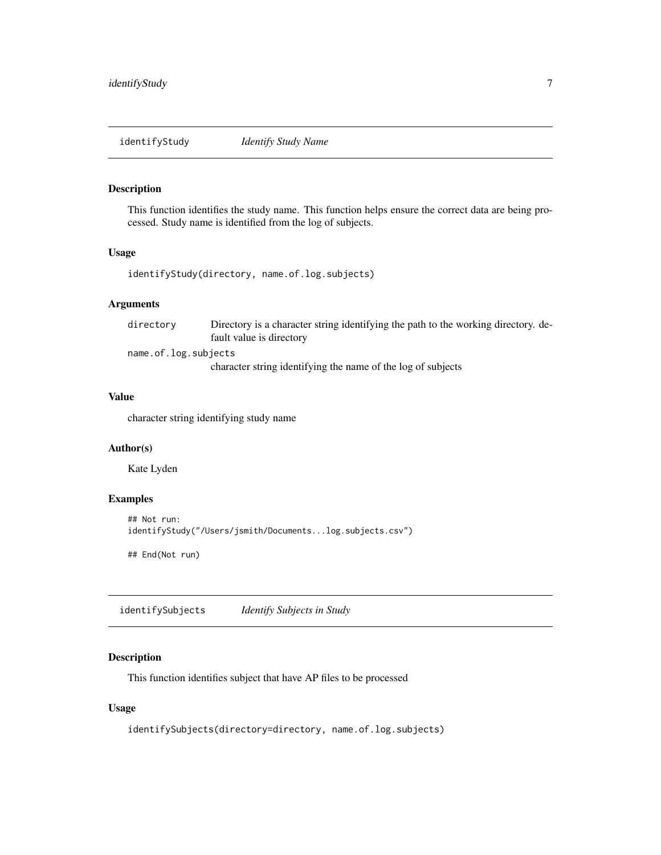<span id="page-6-0"></span>

## Description

This function identifies the study name. This function helps ensure the correct data are being processed. Study name is identified from the log of subjects.

#### Usage

```
identifyStudy(directory, name.of.log.subjects)
```
## Arguments

| directory            | Directory is a character string identifying the path to the working directory, de- |
|----------------------|------------------------------------------------------------------------------------|
|                      | fault value is directory                                                           |
| name.of.log.subjects |                                                                                    |
|                      | character string identifying the name of the log of subjects                       |

## Value

character string identifying study name

#### Author(s)

Kate Lyden

## Examples

```
## Not run:
identifyStudy("/Users/jsmith/Documents...log.subjects.csv")
```
## End(Not run)

identifySubjects *Identify Subjects in Study*

## **Description**

This function identifies subject that have AP files to be processed

## Usage

identifySubjects(directory=directory, name.of.log.subjects)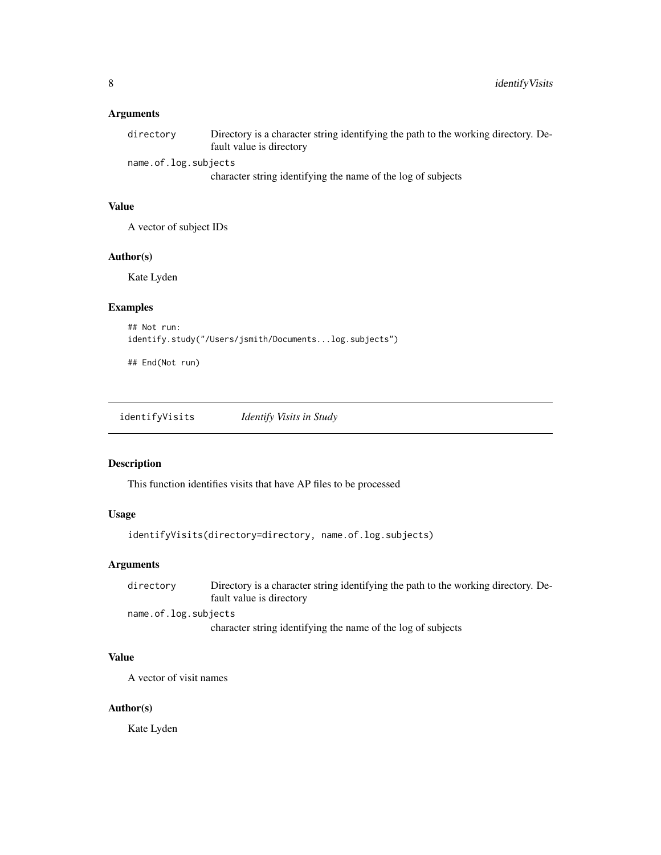## <span id="page-7-0"></span>Arguments

| directory            | Directory is a character string identifying the path to the working directory. De- |
|----------------------|------------------------------------------------------------------------------------|
|                      | fault value is directory                                                           |
| name.of.log.subjects |                                                                                    |

character string identifying the name of the log of subjects

#### Value

A vector of subject IDs

#### Author(s)

Kate Lyden

#### Examples

```
## Not run:
identify.study("/Users/jsmith/Documents...log.subjects")
```
## End(Not run)

identifyVisits *Identify Visits in Study*

## Description

This function identifies visits that have AP files to be processed

## Usage

```
identifyVisits(directory=directory, name.of.log.subjects)
```
## Arguments

| directory            | Directory is a character string identifying the path to the working directory. De- |
|----------------------|------------------------------------------------------------------------------------|
|                      | fault value is directory                                                           |
| name.of.log.subjects |                                                                                    |

character string identifying the name of the log of subjects

#### Value

A vector of visit names

#### Author(s)

Kate Lyden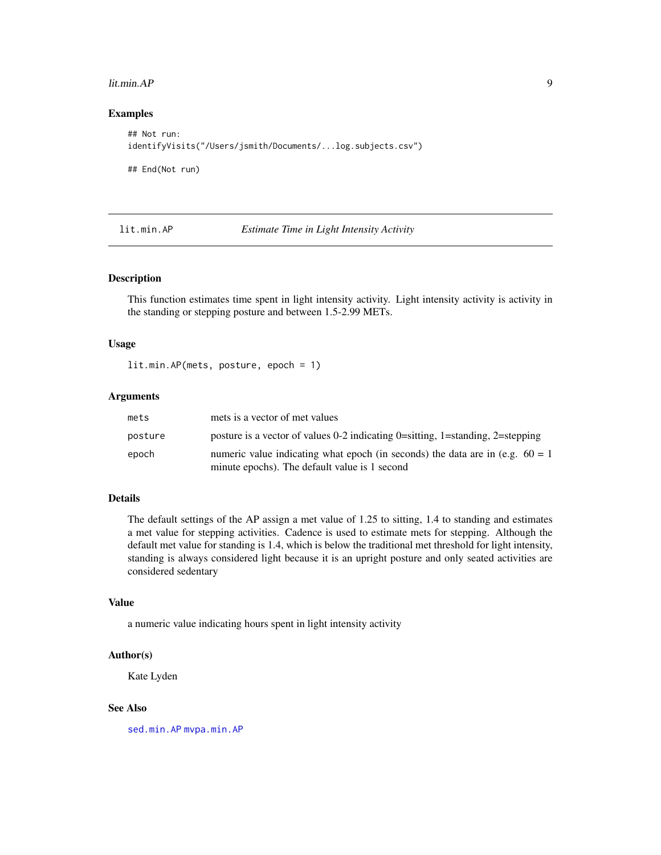#### <span id="page-8-0"></span>lit.min.AP 99

## Examples

```
## Not run:
identifyVisits("/Users/jsmith/Documents/...log.subjects.csv")
```
## End(Not run)

<span id="page-8-1"></span>lit.min.AP *Estimate Time in Light Intensity Activity*

## Description

This function estimates time spent in light intensity activity. Light intensity activity is activity in the standing or stepping posture and between 1.5-2.99 METs.

#### Usage

lit.min.AP(mets, posture, epoch = 1)

## Arguments

| mets    | mets is a vector of met values                                                                                                   |
|---------|----------------------------------------------------------------------------------------------------------------------------------|
| posture | posture is a vector of values 0-2 indicating $0$ =sitting, 1=standing, 2=stepping                                                |
| epoch   | numeric value indicating what epoch (in seconds) the data are in (e.g. $60 = 1$<br>minute epochs). The default value is 1 second |

## Details

The default settings of the AP assign a met value of 1.25 to sitting, 1.4 to standing and estimates a met value for stepping activities. Cadence is used to estimate mets for stepping. Although the default met value for standing is 1.4, which is below the traditional met threshold for light intensity, standing is always considered light because it is an upright posture and only seated activities are considered sedentary

#### Value

a numeric value indicating hours spent in light intensity activity

#### Author(s)

Kate Lyden

## See Also

[sed.min.AP](#page-22-1) [mvpa.min.AP](#page-12-1)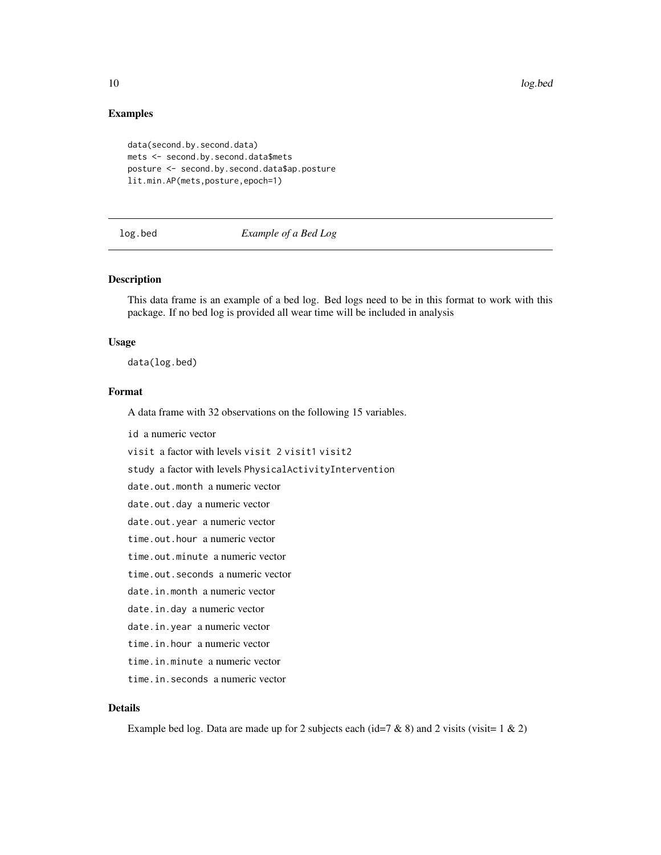<span id="page-9-0"></span>10 log.bed and the state of the state of the state of the state of the state of the state of the state of the state of the state of the state of the state of the state of the state of the state of the state of the state of

#### Examples

```
data(second.by.second.data)
mets <- second.by.second.data$mets
posture <- second.by.second.data$ap.posture
lit.min.AP(mets,posture,epoch=1)
```
log.bed *Example of a Bed Log*

## Description

This data frame is an example of a bed log. Bed logs need to be in this format to work with this package. If no bed log is provided all wear time will be included in analysis

#### Usage

data(log.bed)

## Format

A data frame with 32 observations on the following 15 variables.

id a numeric vector

visit a factor with levels visit 2 visit1 visit2

study a factor with levels PhysicalActivityIntervention

date.out.month a numeric vector

date.out.day a numeric vector

date.out.year a numeric vector

time.out.hour a numeric vector

time.out.minute a numeric vector

- time.out.seconds a numeric vector
- date.in.month a numeric vector
- date.in.day a numeric vector
- date.in.year a numeric vector
- time.in.hour a numeric vector
- time.in.minute a numeric vector
- time.in.seconds a numeric vector

## Details

Example bed log. Data are made up for 2 subjects each (id=7  $\&$  8) and 2 visits (visit= 1  $\&$  2)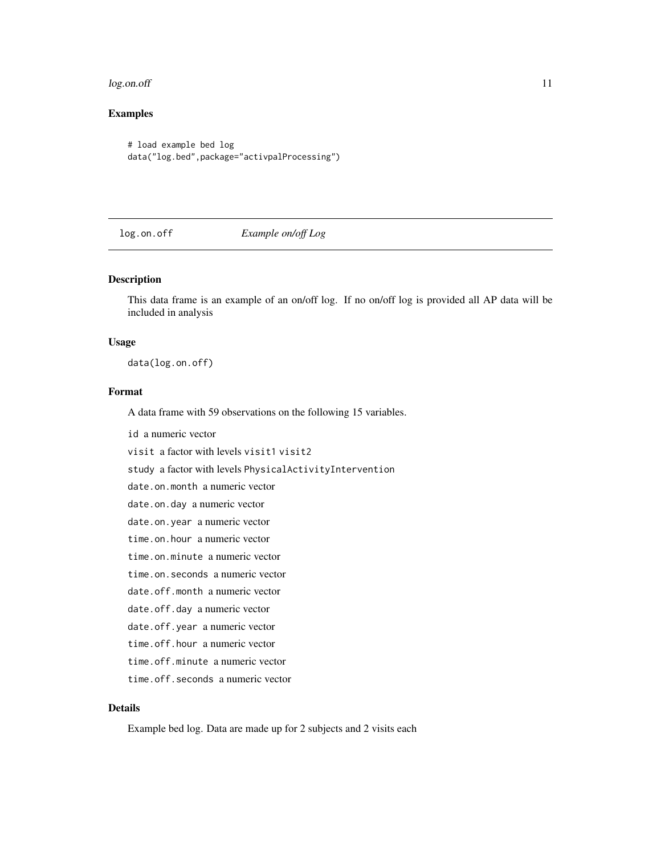#### <span id="page-10-0"></span> $log.o**f**$  11

## Examples

```
# load example bed log
data("log.bed",package="activpalProcessing")
```
log.on.off *Example on/off Log*

## Description

This data frame is an example of an on/off log. If no on/off log is provided all AP data will be included in analysis

#### Usage

data(log.on.off)

## Format

A data frame with 59 observations on the following 15 variables.

id a numeric vector

visit a factor with levels visit1 visit2

study a factor with levels PhysicalActivityIntervention

date.on.month a numeric vector

date.on.day a numeric vector

date.on.year a numeric vector

time.on.hour a numeric vector

time.on.minute a numeric vector

time.on.seconds a numeric vector

date.off.month a numeric vector

date.off.day a numeric vector

date.off.year a numeric vector

time.off.hour a numeric vector

time.off.minute a numeric vector

time.off.seconds a numeric vector

## Details

Example bed log. Data are made up for 2 subjects and 2 visits each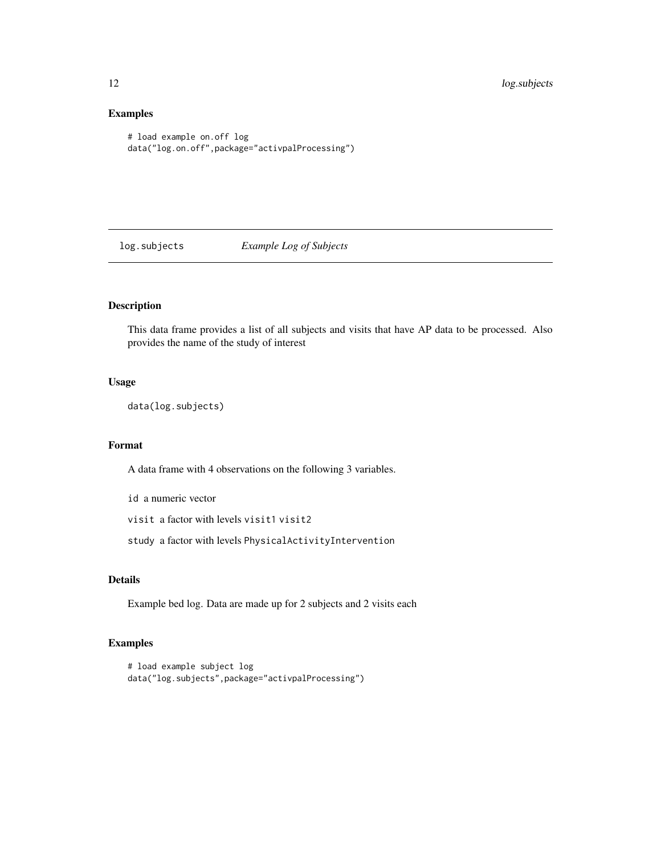## Examples

```
# load example on.off log
data("log.on.off",package="activpalProcessing")
```
log.subjects *Example Log of Subjects*

## Description

This data frame provides a list of all subjects and visits that have AP data to be processed. Also provides the name of the study of interest

#### Usage

data(log.subjects)

#### Format

A data frame with 4 observations on the following 3 variables.

id a numeric vector

visit a factor with levels visit1 visit2

study a factor with levels PhysicalActivityIntervention

## Details

Example bed log. Data are made up for 2 subjects and 2 visits each

## Examples

```
# load example subject log
data("log.subjects",package="activpalProcessing")
```
<span id="page-11-0"></span>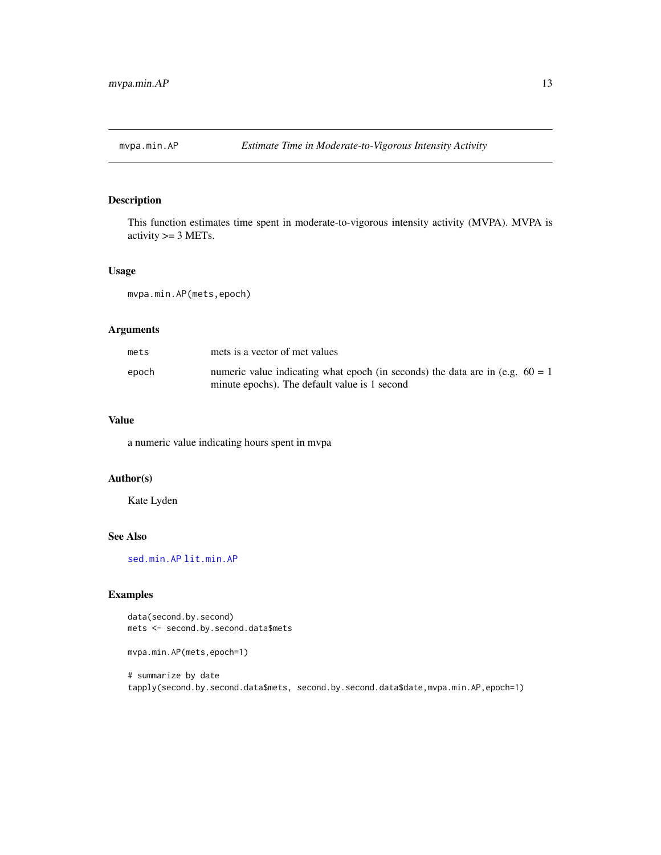<span id="page-12-1"></span><span id="page-12-0"></span>

## Description

This function estimates time spent in moderate-to-vigorous intensity activity (MVPA). MVPA is  $\text{activity} >= 3 \text{ METs}.$ 

#### Usage

mvpa.min.AP(mets,epoch)

## Arguments

| mets  | mets is a vector of met values                                                                                                   |
|-------|----------------------------------------------------------------------------------------------------------------------------------|
| epoch | numeric value indicating what epoch (in seconds) the data are in (e.g. $60 = 1$<br>minute epochs). The default value is 1 second |

#### Value

a numeric value indicating hours spent in mvpa

#### Author(s)

Kate Lyden

#### See Also

[sed.min.AP](#page-22-1) [lit.min.AP](#page-8-1)

## Examples

data(second.by.second) mets <- second.by.second.data\$mets

```
mvpa.min.AP(mets,epoch=1)
```
# summarize by date tapply(second.by.second.data\$mets, second.by.second.data\$date,mvpa.min.AP,epoch=1)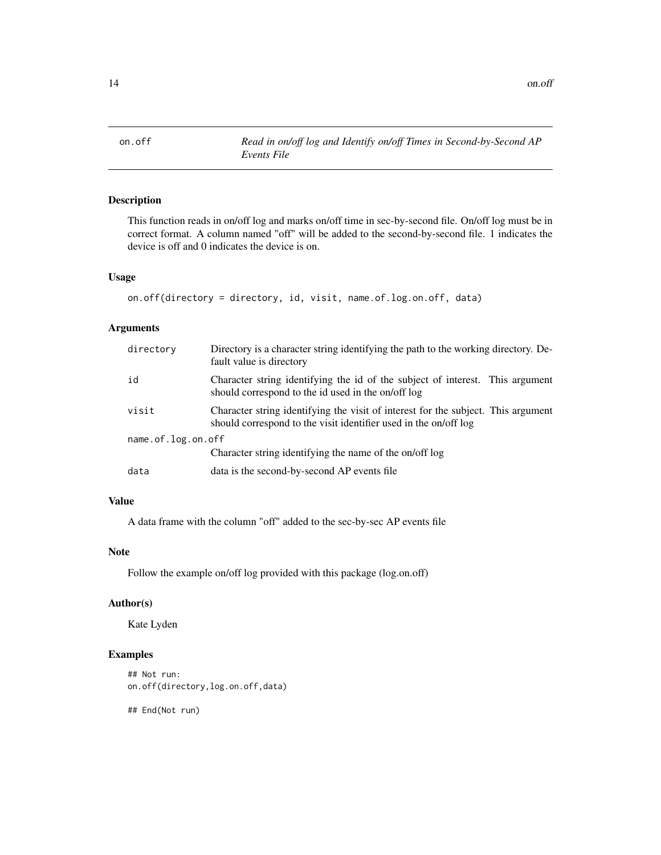<span id="page-13-0"></span>14 on.off

on.off *Read in on/off log and Identify on/off Times in Second-by-Second AP Events File*

## Description

This function reads in on/off log and marks on/off time in sec-by-second file. On/off log must be in correct format. A column named "off" will be added to the second-by-second file. 1 indicates the device is off and 0 indicates the device is on.

#### Usage

```
on.off(directory = directory, id, visit, name.of.log.on.off, data)
```
## Arguments

| directory          | Directory is a character string identifying the path to the working directory. De-<br>fault value is directory                                        |  |
|--------------------|-------------------------------------------------------------------------------------------------------------------------------------------------------|--|
| id                 | Character string identifying the id of the subject of interest. This argument<br>should correspond to the id used in the on/off log                   |  |
| visit              | Character string identifying the visit of interest for the subject. This argument<br>should correspond to the visit identifier used in the on/off log |  |
| name.of.log.on.off |                                                                                                                                                       |  |
|                    | Character string identifying the name of the on/off log                                                                                               |  |
| data               | data is the second-by-second AP events file                                                                                                           |  |

## Value

A data frame with the column "off" added to the sec-by-sec AP events file

## Note

Follow the example on/off log provided with this package (log.on.off)

## Author(s)

Kate Lyden

## Examples

```
## Not run:
on.off(directory,log.on.off,data)
```
## End(Not run)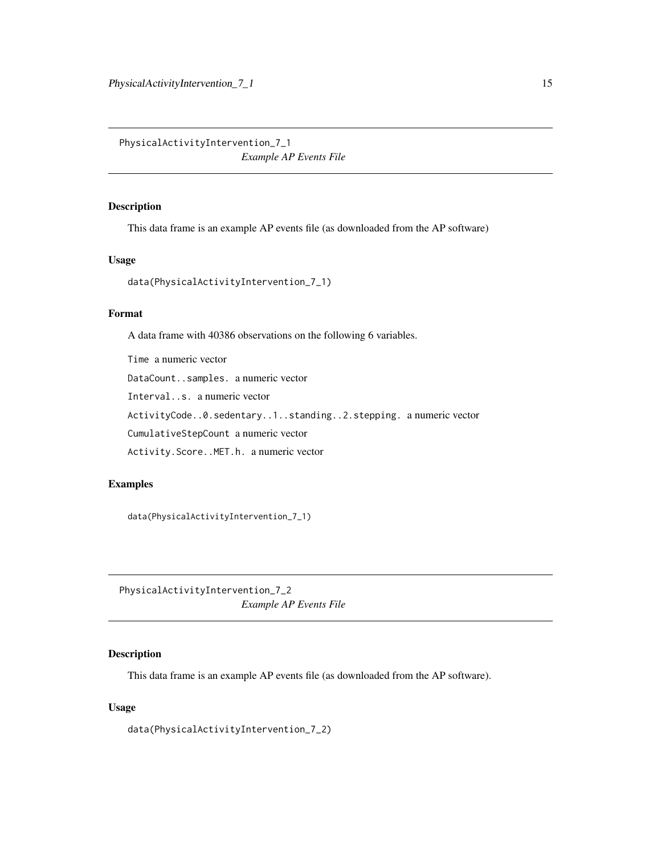<span id="page-14-0"></span>PhysicalActivityIntervention\_7\_1 *Example AP Events File*

## Description

This data frame is an example AP events file (as downloaded from the AP software)

## Usage

```
data(PhysicalActivityIntervention_7_1)
```
## Format

A data frame with 40386 observations on the following 6 variables.

Time a numeric vector DataCount..samples. a numeric vector Interval..s. a numeric vector ActivityCode..0.sedentary..1..standing..2.stepping. a numeric vector CumulativeStepCount a numeric vector Activity.Score..MET.h. a numeric vector

#### Examples

data(PhysicalActivityIntervention\_7\_1)

PhysicalActivityIntervention\_7\_2 *Example AP Events File*

## Description

This data frame is an example AP events file (as downloaded from the AP software).

## Usage

data(PhysicalActivityIntervention\_7\_2)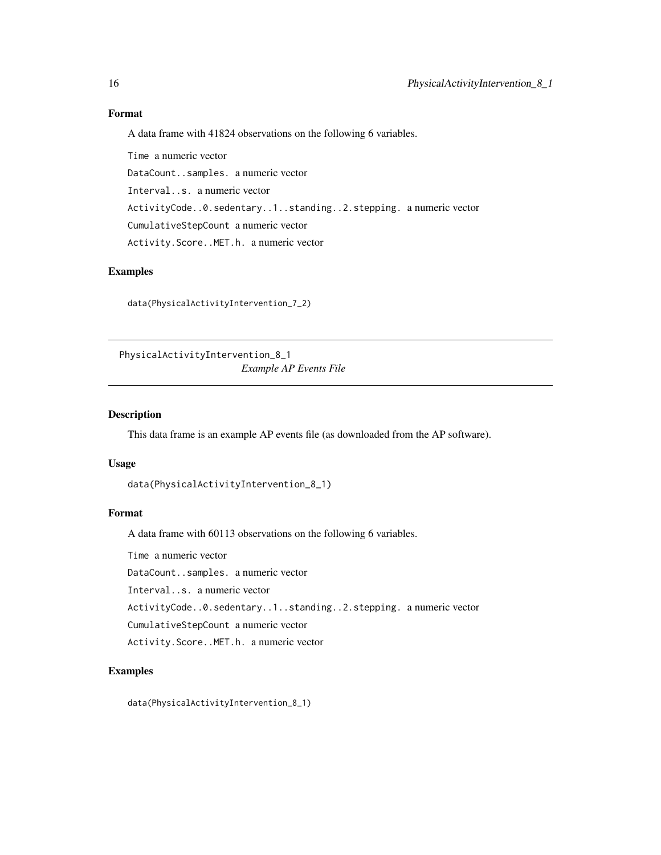## Format

A data frame with 41824 observations on the following 6 variables.

Time a numeric vector DataCount..samples. a numeric vector Interval..s. a numeric vector ActivityCode..0.sedentary..1..standing..2.stepping. a numeric vector CumulativeStepCount a numeric vector Activity.Score..MET.h. a numeric vector

## Examples

data(PhysicalActivityIntervention\_7\_2)

PhysicalActivityIntervention\_8\_1 *Example AP Events File*

#### Description

This data frame is an example AP events file (as downloaded from the AP software).

#### Usage

data(PhysicalActivityIntervention\_8\_1)

#### Format

A data frame with 60113 observations on the following 6 variables.

Time a numeric vector

DataCount..samples. a numeric vector

Interval..s. a numeric vector

ActivityCode..0.sedentary..1..standing..2.stepping. a numeric vector

CumulativeStepCount a numeric vector

Activity.Score..MET.h. a numeric vector

#### Examples

data(PhysicalActivityIntervention\_8\_1)

<span id="page-15-0"></span>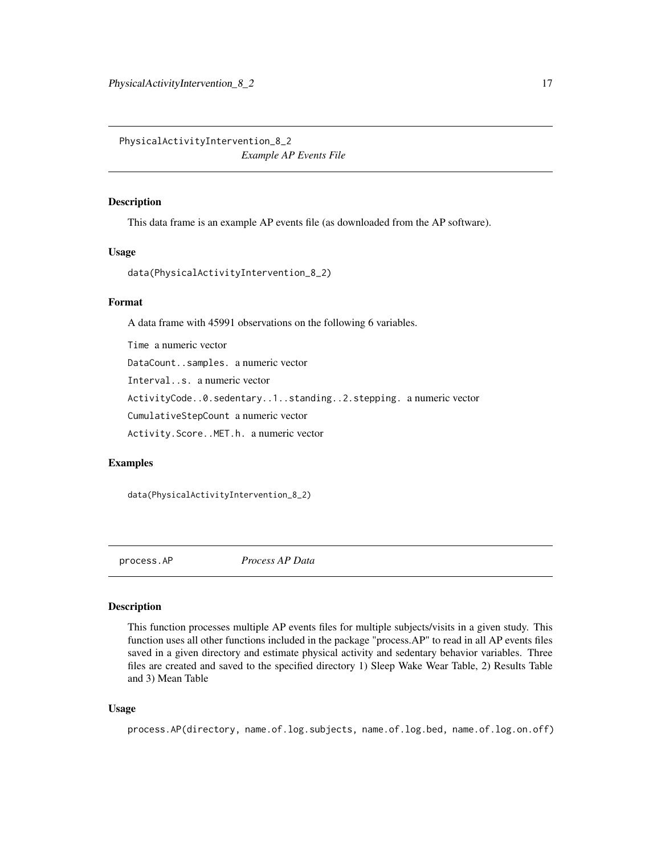<span id="page-16-0"></span>PhysicalActivityIntervention\_8\_2 *Example AP Events File*

## Description

This data frame is an example AP events file (as downloaded from the AP software).

#### Usage

```
data(PhysicalActivityIntervention_8_2)
```
## Format

A data frame with 45991 observations on the following 6 variables.

Time a numeric vector DataCount..samples. a numeric vector Interval..s. a numeric vector ActivityCode..0.sedentary..1..standing..2.stepping. a numeric vector CumulativeStepCount a numeric vector Activity.Score..MET.h. a numeric vector

## Examples

data(PhysicalActivityIntervention\_8\_2)

process.AP *Process AP Data*

#### Description

This function processes multiple AP events files for multiple subjects/visits in a given study. This function uses all other functions included in the package "process.AP" to read in all AP events files saved in a given directory and estimate physical activity and sedentary behavior variables. Three files are created and saved to the specified directory 1) Sleep Wake Wear Table, 2) Results Table and 3) Mean Table

#### Usage

process.AP(directory, name.of.log.subjects, name.of.log.bed, name.of.log.on.off)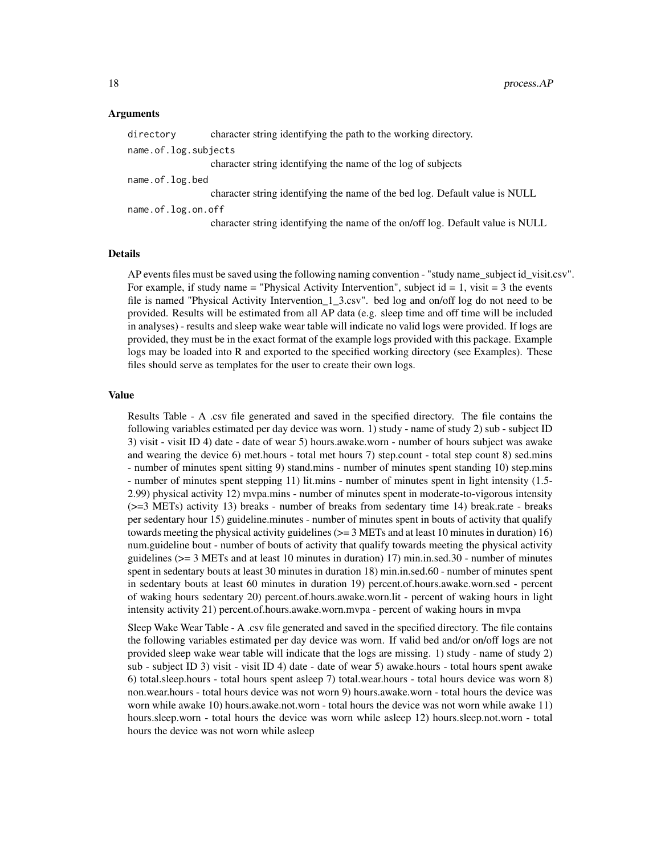#### Arguments

| directory            | character string identifying the path to the working directory.                |
|----------------------|--------------------------------------------------------------------------------|
| name.of.log.subjects |                                                                                |
|                      | character string identifying the name of the log of subjects                   |
| name.of.log.bed      |                                                                                |
|                      | character string identifying the name of the bed log. Default value is NULL    |
| name.of.log.on.off   |                                                                                |
|                      | character string identifying the name of the on/off log. Default value is NULL |
|                      |                                                                                |

#### Details

AP events files must be saved using the following naming convention - "study name\_subject id\_visit.csv". For example, if study name = "Physical Activity Intervention", subject  $id = 1$ , visit = 3 the events file is named "Physical Activity Intervention\_1\_3.csv". bed log and on/off log do not need to be provided. Results will be estimated from all AP data (e.g. sleep time and off time will be included in analyses) - results and sleep wake wear table will indicate no valid logs were provided. If logs are provided, they must be in the exact format of the example logs provided with this package. Example logs may be loaded into R and exported to the specified working directory (see Examples). These files should serve as templates for the user to create their own logs.

#### Value

Results Table - A .csv file generated and saved in the specified directory. The file contains the following variables estimated per day device was worn. 1) study - name of study 2) sub - subject ID 3) visit - visit ID 4) date - date of wear 5) hours.awake.worn - number of hours subject was awake and wearing the device 6) met.hours - total met hours 7) step.count - total step count 8) sed.mins - number of minutes spent sitting 9) stand.mins - number of minutes spent standing 10) step.mins - number of minutes spent stepping 11) lit.mins - number of minutes spent in light intensity (1.5- 2.99) physical activity 12) mvpa.mins - number of minutes spent in moderate-to-vigorous intensity  $(>=3$  METs) activity 13) breaks - number of breaks from sedentary time 14) break.rate - breaks per sedentary hour 15) guideline.minutes - number of minutes spent in bouts of activity that qualify towards meeting the physical activity guidelines ( $>=$  3 METs and at least 10 minutes in duration) 16) num.guideline bout - number of bouts of activity that qualify towards meeting the physical activity guidelines (>= 3 METs and at least 10 minutes in duration) 17) min.in.sed.30 - number of minutes spent in sedentary bouts at least 30 minutes in duration 18) min.in.sed.60 - number of minutes spent in sedentary bouts at least 60 minutes in duration 19) percent.of.hours.awake.worn.sed - percent of waking hours sedentary 20) percent.of.hours.awake.worn.lit - percent of waking hours in light intensity activity 21) percent.of.hours.awake.worn.mvpa - percent of waking hours in mvpa

Sleep Wake Wear Table - A .csv file generated and saved in the specified directory. The file contains the following variables estimated per day device was worn. If valid bed and/or on/off logs are not provided sleep wake wear table will indicate that the logs are missing. 1) study - name of study 2) sub - subject ID 3) visit - visit ID 4) date - date of wear 5) awake.hours - total hours spent awake 6) total.sleep.hours - total hours spent asleep 7) total.wear.hours - total hours device was worn 8) non.wear.hours - total hours device was not worn 9) hours.awake.worn - total hours the device was worn while awake 10) hours.awake.not.worn - total hours the device was not worn while awake 11) hours.sleep.worn - total hours the device was worn while asleep 12) hours.sleep.not.worn - total hours the device was not worn while asleep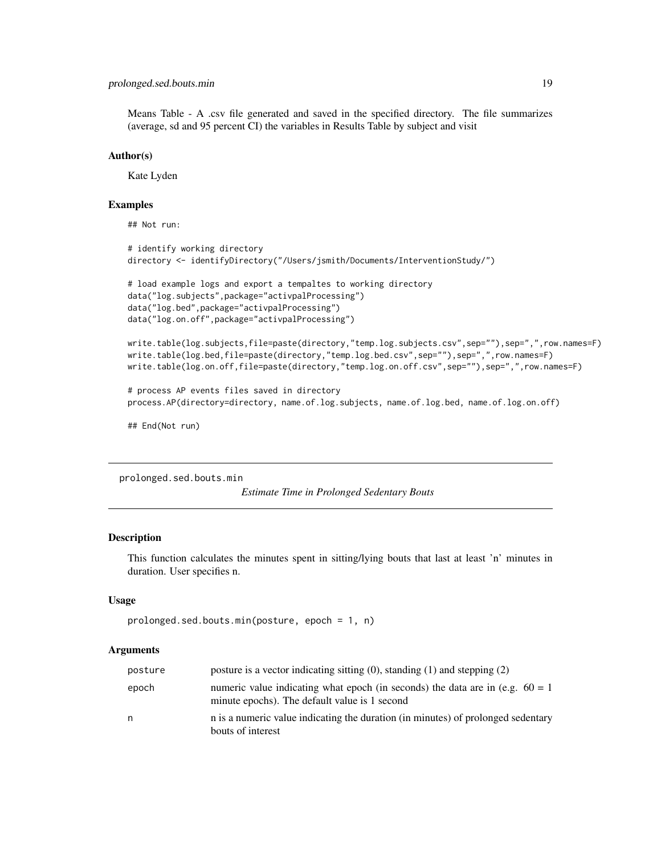<span id="page-18-0"></span>Means Table - A .csv file generated and saved in the specified directory. The file summarizes (average, sd and 95 percent CI) the variables in Results Table by subject and visit

#### Author(s)

Kate Lyden

#### Examples

## Not run:

```
# identify working directory
directory <- identifyDirectory("/Users/jsmith/Documents/InterventionStudy/")
# load example logs and export a tempaltes to working directory
data("log.subjects",package="activpalProcessing")
data("log.bed",package="activpalProcessing")
data("log.on.off",package="activpalProcessing")
write.table(log.subjects,file=paste(directory,"temp.log.subjects.csv",sep=""),sep=",",row.names=F)
write.table(log.bed,file=paste(directory,"temp.log.bed.csv",sep=""),sep=",",row.names=F)
write.table(log.on.off,file=paste(directory,"temp.log.on.off.csv",sep=""),sep=",",row.names=F)
```

```
# process AP events files saved in directory
process.AP(directory=directory, name.of.log.subjects, name.of.log.bed, name.of.log.on.off)
```
## End(Not run)

<span id="page-18-1"></span>prolonged.sed.bouts.min

*Estimate Time in Prolonged Sedentary Bouts*

#### Description

This function calculates the minutes spent in sitting/lying bouts that last at least 'n' minutes in duration. User specifies n.

#### Usage

```
prolonged.sed.bouts.min(posture, epoch = 1, n)
```
#### Arguments

| posture | posture is a vector indicating sitting $(0)$ , standing $(1)$ and stepping $(2)$                                                 |
|---------|----------------------------------------------------------------------------------------------------------------------------------|
| epoch   | numeric value indicating what epoch (in seconds) the data are in (e.g. $60 = 1$<br>minute epochs). The default value is 1 second |
| n       | n is a numeric value indicating the duration (in minutes) of prolonged sedentary<br>bouts of interest                            |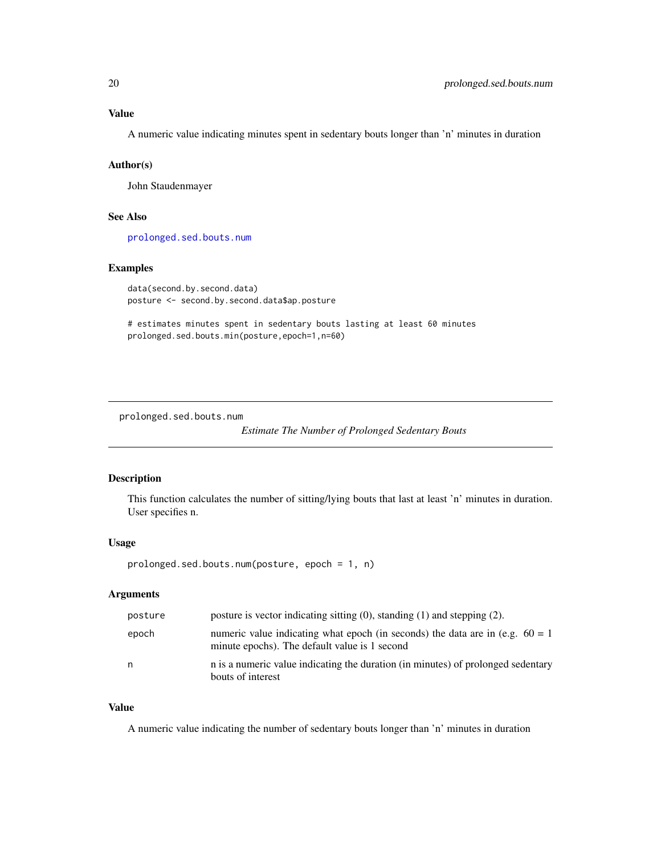## <span id="page-19-0"></span>Value

A numeric value indicating minutes spent in sedentary bouts longer than 'n' minutes in duration

#### Author(s)

John Staudenmayer

#### See Also

[prolonged.sed.bouts.num](#page-19-1)

## Examples

```
data(second.by.second.data)
posture <- second.by.second.data$ap.posture
```
# estimates minutes spent in sedentary bouts lasting at least 60 minutes prolonged.sed.bouts.min(posture,epoch=1,n=60)

<span id="page-19-1"></span>prolonged.sed.bouts.num

*Estimate The Number of Prolonged Sedentary Bouts*

## Description

This function calculates the number of sitting/lying bouts that last at least 'n' minutes in duration. User specifies n.

#### Usage

prolonged.sed.bouts.num(posture, epoch = 1, n)

## Arguments

| posture | posture is vector indicating sitting $(0)$ , standing $(1)$ and stepping $(2)$ .                                                 |
|---------|----------------------------------------------------------------------------------------------------------------------------------|
| epoch   | numeric value indicating what epoch (in seconds) the data are in (e.g. $60 = 1$<br>minute epochs). The default value is 1 second |
| n.      | n is a numeric value indicating the duration (in minutes) of prolonged sedentary<br>bouts of interest                            |

## Value

A numeric value indicating the number of sedentary bouts longer than 'n' minutes in duration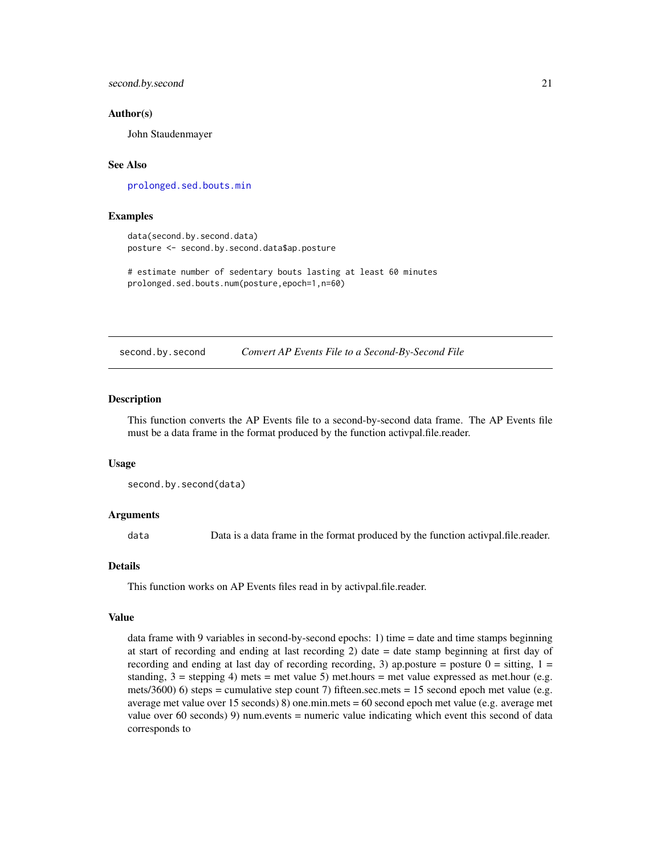<span id="page-20-0"></span>second.by.second 21

#### Author(s)

John Staudenmayer

#### See Also

[prolonged.sed.bouts.min](#page-18-1)

#### Examples

```
data(second.by.second.data)
posture <- second.by.second.data$ap.posture
```
# estimate number of sedentary bouts lasting at least 60 minutes prolonged.sed.bouts.num(posture,epoch=1,n=60)

second.by.second *Convert AP Events File to a Second-By-Second File*

#### Description

This function converts the AP Events file to a second-by-second data frame. The AP Events file must be a data frame in the format produced by the function activpal.file.reader.

#### Usage

```
second.by.second(data)
```
#### Arguments

data Data is a data frame in the format produced by the function activpal.file.reader.

#### Details

This function works on AP Events files read in by activpal.file.reader.

#### Value

data frame with 9 variables in second-by-second epochs: 1) time = date and time stamps beginning at start of recording and ending at last recording 2) date = date stamp beginning at first day of recording and ending at last day of recording recording, 3) ap.posture = posture  $0 =$  sitting,  $1 =$ standing,  $3 =$  stepping 4) mets = met value 5) met.hours = met value expressed as met.hour (e.g. mets/3600) 6) steps = cumulative step count 7) fifteen.sec.mets = 15 second epoch met value (e.g. average met value over 15 seconds) 8) one.min.mets = 60 second epoch met value (e.g. average met value over 60 seconds) 9) num.events = numeric value indicating which event this second of data corresponds to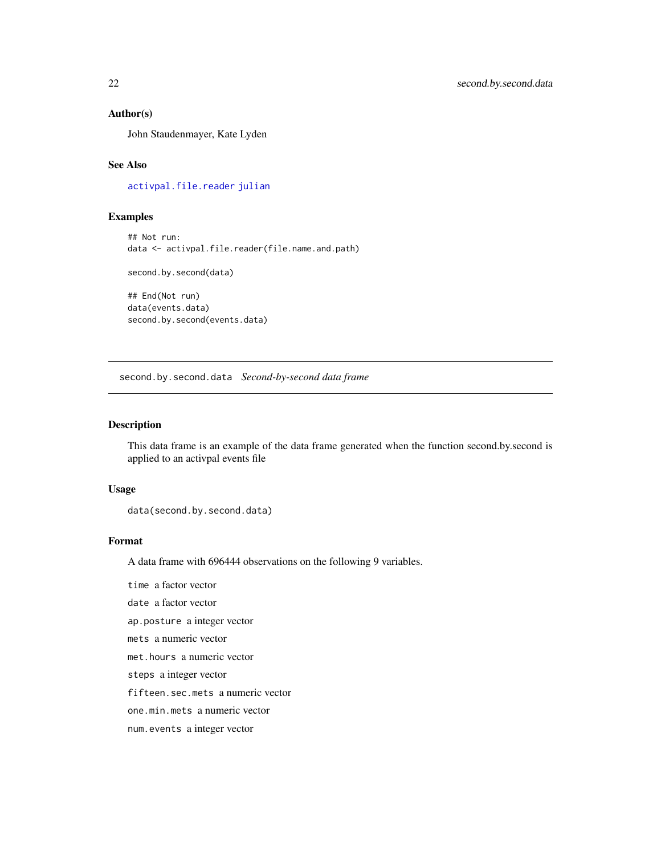#### Author(s)

John Staudenmayer, Kate Lyden

#### See Also

[activpal.file.reader](#page-1-1) [julian](#page-0-0)

#### Examples

## Not run: data <- activpal.file.reader(file.name.and.path)

second.by.second(data)

## End(Not run) data(events.data) second.by.second(events.data)

second.by.second.data *Second-by-second data frame*

#### Description

This data frame is an example of the data frame generated when the function second.by.second is applied to an activpal events file

#### Usage

data(second.by.second.data)

## Format

A data frame with 696444 observations on the following 9 variables.

time a factor vector

date a factor vector

ap.posture a integer vector

mets a numeric vector

met.hours a numeric vector

steps a integer vector

fifteen.sec.mets a numeric vector

one.min.mets a numeric vector

num.events a integer vector

<span id="page-21-0"></span>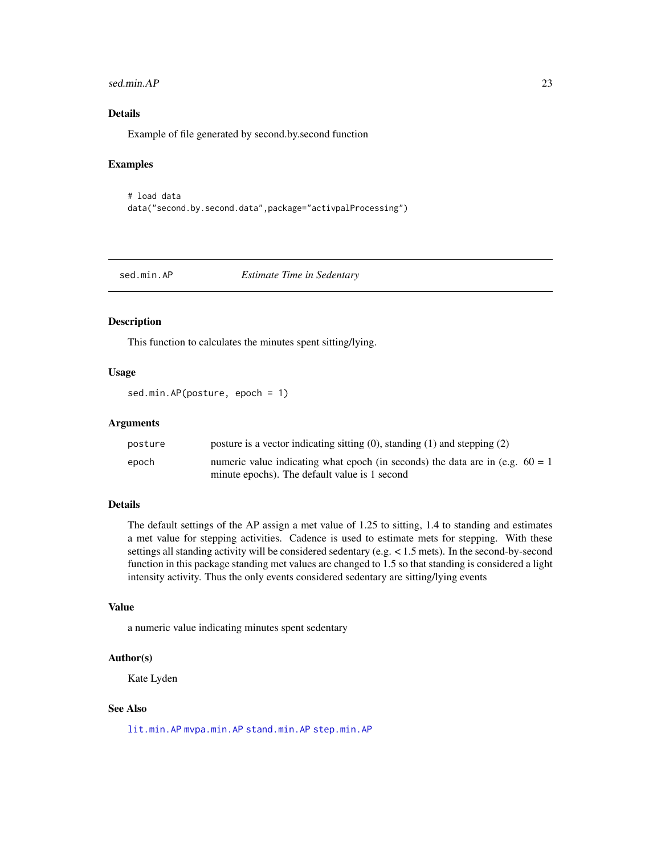#### <span id="page-22-0"></span>sed.min.AP 23

## Details

Example of file generated by second.by.second function

#### Examples

```
# load data
data("second.by.second.data",package="activpalProcessing")
```
<span id="page-22-1"></span>

sed.min.AP *Estimate Time in Sedentary*

#### Description

This function to calculates the minutes spent sitting/lying.

#### Usage

sed.min.AP(posture, epoch = 1)

#### Arguments

| posture | posture is a vector indicating sitting $(0)$ , standing $(1)$ and stepping $(2)$ |
|---------|----------------------------------------------------------------------------------|
| epoch   | numeric value indicating what epoch (in seconds) the data are in (e.g. $60 = 1$  |
|         | minute epochs). The default value is 1 second                                    |

## Details

The default settings of the AP assign a met value of 1.25 to sitting, 1.4 to standing and estimates a met value for stepping activities. Cadence is used to estimate mets for stepping. With these settings all standing activity will be considered sedentary (e.g. < 1.5 mets). In the second-by-second function in this package standing met values are changed to 1.5 so that standing is considered a light intensity activity. Thus the only events considered sedentary are sitting/lying events

#### Value

a numeric value indicating minutes spent sedentary

#### Author(s)

Kate Lyden

## See Also

[lit.min.AP](#page-8-1) [mvpa.min.AP](#page-12-1) [stand.min.AP](#page-23-1) [step.min.AP](#page-24-1)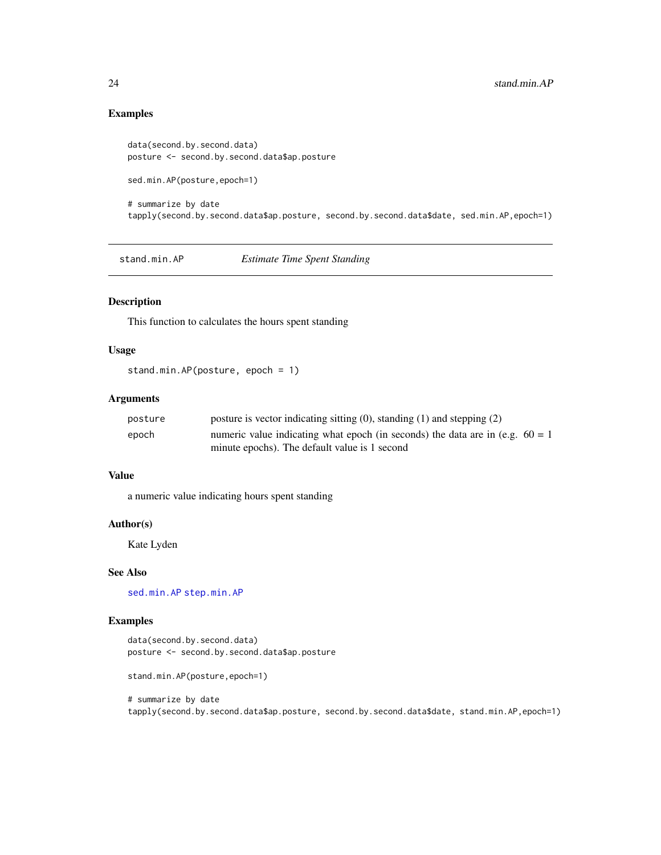## Examples

```
data(second.by.second.data)
posture <- second.by.second.data$ap.posture
sed.min.AP(posture,epoch=1)
# summarize by date
tapply(second.by.second.data$ap.posture, second.by.second.data$date, sed.min.AP,epoch=1)
```
<span id="page-23-1"></span>stand.min.AP *Estimate Time Spent Standing*

## Description

This function to calculates the hours spent standing

## Usage

```
stand.min.AP(posture, epoch = 1)
```
## Arguments

| posture | posture is vector indicating sitting $(0)$ , standing $(1)$ and stepping $(2)$                                                   |
|---------|----------------------------------------------------------------------------------------------------------------------------------|
| epoch   | numeric value indicating what epoch (in seconds) the data are in (e.g. $60 = 1$<br>minute epochs). The default value is 1 second |

## Value

a numeric value indicating hours spent standing

#### Author(s)

Kate Lyden

#### See Also

[sed.min.AP](#page-22-1) [step.min.AP](#page-24-1)

#### Examples

```
data(second.by.second.data)
posture <- second.by.second.data$ap.posture
```

```
stand.min.AP(posture,epoch=1)
```
# summarize by date tapply(second.by.second.data\$ap.posture, second.by.second.data\$date, stand.min.AP,epoch=1)

<span id="page-23-0"></span>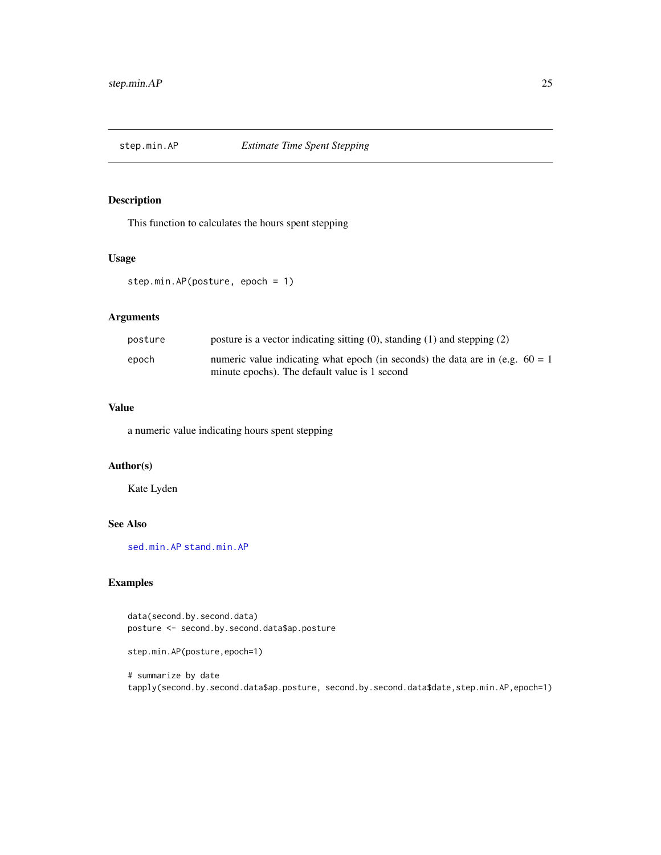<span id="page-24-1"></span><span id="page-24-0"></span>

## Description

This function to calculates the hours spent stepping

#### Usage

```
step.min.AP(posture, epoch = 1)
```
## Arguments

| posture | posture is a vector indicating sitting $(0)$ , standing $(1)$ and stepping $(2)$                                                 |
|---------|----------------------------------------------------------------------------------------------------------------------------------|
| epoch   | numeric value indicating what epoch (in seconds) the data are in (e.g. $60 = 1$<br>minute epochs). The default value is 1 second |

## Value

a numeric value indicating hours spent stepping

#### Author(s)

Kate Lyden

## See Also

[sed.min.AP](#page-22-1) [stand.min.AP](#page-23-1)

## Examples

data(second.by.second.data) posture <- second.by.second.data\$ap.posture

```
step.min.AP(posture,epoch=1)
```
# summarize by date tapply(second.by.second.data\$ap.posture, second.by.second.data\$date,step.min.AP,epoch=1)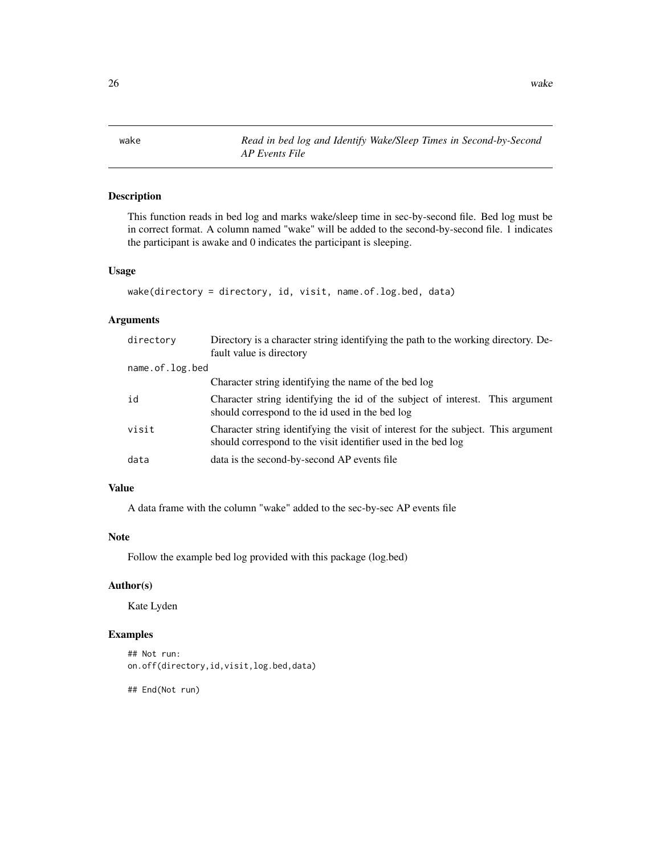wake *Read in bed log and Identify Wake/Sleep Times in Second-by-Second AP Events File*

## Description

This function reads in bed log and marks wake/sleep time in sec-by-second file. Bed log must be in correct format. A column named "wake" will be added to the second-by-second file. 1 indicates the participant is awake and 0 indicates the participant is sleeping.

#### Usage

```
wake(directory = directory, id, visit, name.of.log.bed, data)
```
## Arguments

| directory       | Directory is a character string identifying the path to the working directory. De-<br>fault value is directory                                     |  |
|-----------------|----------------------------------------------------------------------------------------------------------------------------------------------------|--|
| name.of.log.bed |                                                                                                                                                    |  |
|                 | Character string identifying the name of the bed log                                                                                               |  |
| id              | Character string identifying the id of the subject of interest. This argument<br>should correspond to the id used in the bed log                   |  |
| visit           | Character string identifying the visit of interest for the subject. This argument<br>should correspond to the visit identifier used in the bed log |  |
| data            | data is the second-by-second AP events file                                                                                                        |  |

## Value

A data frame with the column "wake" added to the sec-by-sec AP events file

#### Note

Follow the example bed log provided with this package (log.bed)

## Author(s)

Kate Lyden

## Examples

```
## Not run:
on.off(directory,id,visit,log.bed,data)
```
## End(Not run)

<span id="page-25-0"></span>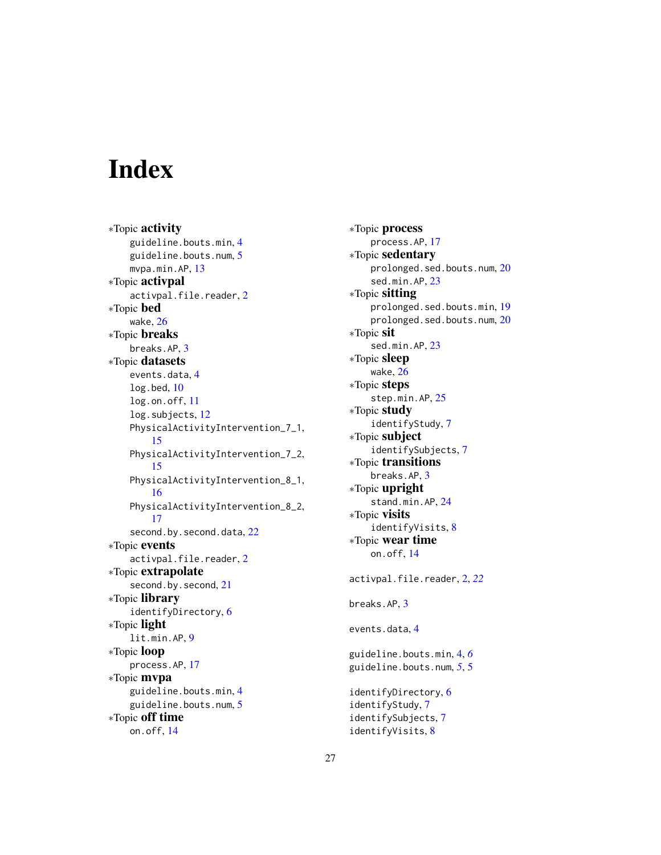# <span id="page-26-0"></span>Index

∗Topic activity guideline.bouts.min, [4](#page-3-0) guideline.bouts.num, [5](#page-4-0) mvpa.min.AP, [13](#page-12-0) ∗Topic activpal activpal.file.reader, [2](#page-1-0) ∗Topic bed wake, [26](#page-25-0) ∗Topic breaks breaks.AP, [3](#page-2-0) ∗Topic datasets events.data, [4](#page-3-0) log.bed, [10](#page-9-0) log.on.off, [11](#page-10-0) log.subjects, [12](#page-11-0) PhysicalActivityIntervention\_7\_1, [15](#page-14-0) PhysicalActivityIntervention\_7\_2, [15](#page-14-0) PhysicalActivityIntervention\_8\_1, [16](#page-15-0) PhysicalActivityIntervention\_8\_2, [17](#page-16-0) second.by.second.data, [22](#page-21-0) ∗Topic events activpal.file.reader, [2](#page-1-0) ∗Topic extrapolate second.by.second, [21](#page-20-0) ∗Topic library identifyDirectory, [6](#page-5-0) ∗Topic light lit.min.AP, [9](#page-8-0) ∗Topic loop process.AP, [17](#page-16-0) ∗Topic mvpa guideline.bouts.min, [4](#page-3-0) guideline.bouts.num, [5](#page-4-0) ∗Topic off time on.off, [14](#page-13-0)

∗Topic process process.AP, [17](#page-16-0) ∗Topic sedentary prolonged.sed.bouts.num, [20](#page-19-0) sed.min.AP, [23](#page-22-0) ∗Topic sitting prolonged.sed.bouts.min, [19](#page-18-0) prolonged.sed.bouts.num, [20](#page-19-0) ∗Topic sit sed.min.AP, [23](#page-22-0) ∗Topic sleep wake, [26](#page-25-0) ∗Topic steps step.min.AP, [25](#page-24-0) ∗Topic study identifyStudy, [7](#page-6-0) ∗Topic subject identifySubjects, [7](#page-6-0) ∗Topic transitions breaks.AP, [3](#page-2-0) ∗Topic upright stand.min.AP, [24](#page-23-0) ∗Topic visits identifyVisits, [8](#page-7-0) ∗Topic wear time on.off, [14](#page-13-0) activpal.file.reader, [2,](#page-1-0) *[22](#page-21-0)* breaks.AP, [3](#page-2-0) events.data, [4](#page-3-0) guideline.bouts.min, [4,](#page-3-0) *[6](#page-5-0)* guideline.bouts.num, *[5](#page-4-0)*, [5](#page-4-0) identifyDirectory, [6](#page-5-0) identifyStudy, [7](#page-6-0) identifySubjects, [7](#page-6-0) identifyVisits, [8](#page-7-0)